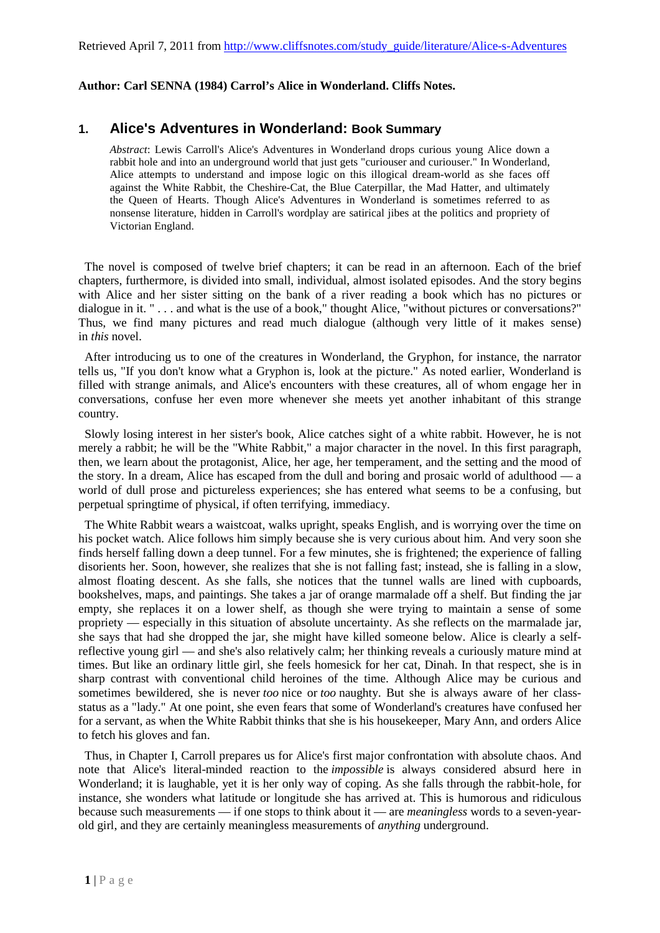# **Author: Carl SENNA (1984) Carrol's Alice in Wonderland. Cliffs Notes.**

# **1. Alice's Adventures in Wonderland: Book Summary**

*Abstract*: Lewis Carroll's Alice's Adventures in Wonderland drops curious young Alice down a rabbit hole and into an underground world that just gets "curiouser and curiouser." In Wonderland, Alice attempts to understand and impose logic on this illogical dream-world as she faces off against the White Rabbit, the Cheshire-Cat, the Blue Caterpillar, the Mad Hatter, and ultimately the Queen of Hearts. Though Alice's Adventures in Wonderland is sometimes referred to as nonsense literature, hidden in Carroll's wordplay are satirical jibes at the politics and propriety of Victorian England.

The novel is composed of twelve brief chapters; it can be read in an afternoon. Each of the brief chapters, furthermore, is divided into small, individual, almost isolated episodes. And the story begins with Alice and her sister sitting on the bank of a river reading a book which has no pictures or dialogue in it. " . . . and what is the use of a book," thought Alice, "without pictures or conversations?" Thus, we find many pictures and read much dialogue (although very little of it makes sense) in *this* novel.

After introducing us to one of the creatures in Wonderland, the Gryphon, for instance, the narrator tells us, "If you don't know what a Gryphon is, look at the picture." As noted earlier, Wonderland is filled with strange animals, and Alice's encounters with these creatures, all of whom engage her in conversations, confuse her even more whenever she meets yet another inhabitant of this strange country.

Slowly losing interest in her sister's book, Alice catches sight of a white rabbit. However, he is not merely a rabbit; he will be the "White Rabbit," a major character in the novel. In this first paragraph, then, we learn about the protagonist, Alice, her age, her temperament, and the setting and the mood of the story. In a dream, Alice has escaped from the dull and boring and prosaic world of adulthood — a world of dull prose and pictureless experiences; she has entered what seems to be a confusing, but perpetual springtime of physical, if often terrifying, immediacy.

The White Rabbit wears a waistcoat, walks upright, speaks English, and is worrying over the time on his pocket watch. Alice follows him simply because she is very curious about him. And very soon she finds herself falling down a deep tunnel. For a few minutes, she is frightened; the experience of falling disorients her. Soon, however, she realizes that she is not falling fast; instead, she is falling in a slow, almost floating descent. As she falls, she notices that the tunnel walls are lined with cupboards, bookshelves, maps, and paintings. She takes a jar of orange marmalade off a shelf. But finding the jar empty, she replaces it on a lower shelf, as though she were trying to maintain a sense of some propriety — especially in this situation of absolute uncertainty. As she reflects on the marmalade jar, she says that had she dropped the jar, she might have killed someone below. Alice is clearly a selfreflective young girl — and she's also relatively calm; her thinking reveals a curiously mature mind at times. But like an ordinary little girl, she feels homesick for her cat, Dinah. In that respect, she is in sharp contrast with conventional child heroines of the time. Although Alice may be curious and sometimes bewildered, she is never *too* nice or *too* naughty. But she is always aware of her classstatus as a "lady." At one point, she even fears that some of Wonderland's creatures have confused her for a servant, as when the White Rabbit thinks that she is his housekeeper, Mary Ann, and orders Alice to fetch his gloves and fan.

Thus, in Chapter I, Carroll prepares us for Alice's first major confrontation with absolute chaos. And note that Alice's literal-minded reaction to the *impossible* is always considered absurd here in Wonderland; it is laughable, yet it is her only way of coping. As she falls through the rabbit-hole, for instance, she wonders what latitude or longitude she has arrived at. This is humorous and ridiculous because such measurements — if one stops to think about it — are *meaningless* words to a seven-yearold girl, and they are certainly meaningless measurements of *anything* underground.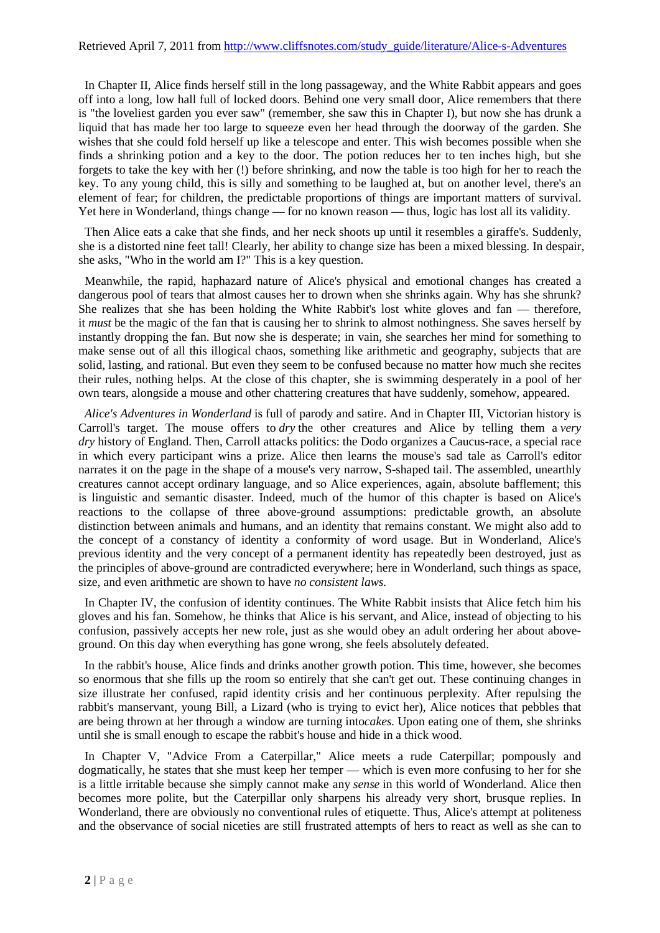In Chapter II, Alice finds herself still in the long passageway, and the White Rabbit appears and goes off into a long, low hall full of locked doors. Behind one very small door, Alice remembers that there is "the loveliest garden you ever saw" (remember, she saw this in Chapter I), but now she has drunk a liquid that has made her too large to squeeze even her head through the doorway of the garden. She wishes that she could fold herself up like a telescope and enter. This wish becomes possible when she finds a shrinking potion and a key to the door. The potion reduces her to ten inches high, but she forgets to take the key with her (!) before shrinking, and now the table is too high for her to reach the key. To any young child, this is silly and something to be laughed at, but on another level, there's an element of fear; for children, the predictable proportions of things are important matters of survival. Yet here in Wonderland, things change — for no known reason — thus, logic has lost all its validity.

Then Alice eats a cake that she finds, and her neck shoots up until it resembles a giraffe's. Suddenly, she is a distorted nine feet tall! Clearly, her ability to change size has been a mixed blessing. In despair, she asks, "Who in the world am I?" This is a key question.

Meanwhile, the rapid, haphazard nature of Alice's physical and emotional changes has created a dangerous pool of tears that almost causes her to drown when she shrinks again. Why has she shrunk? She realizes that she has been holding the White Rabbit's lost white gloves and fan — therefore, it *must* be the magic of the fan that is causing her to shrink to almost nothingness. She saves herself by instantly dropping the fan. But now she is desperate; in vain, she searches her mind for something to make sense out of all this illogical chaos, something like arithmetic and geography, subjects that are solid, lasting, and rational. But even they seem to be confused because no matter how much she recites their rules, nothing helps. At the close of this chapter, she is swimming desperately in a pool of her own tears, alongside a mouse and other chattering creatures that have suddenly, somehow, appeared.

*Alice's Adventures in Wonderland* is full of parody and satire. And in Chapter III, Victorian history is Carroll's target. The mouse offers to *dry* the other creatures and Alice by telling them a *very dry* history of England. Then, Carroll attacks politics: the Dodo organizes a Caucus-race, a special race in which every participant wins a prize. Alice then learns the mouse's sad tale as Carroll's editor narrates it on the page in the shape of a mouse's very narrow, S-shaped tail. The assembled, unearthly creatures cannot accept ordinary language, and so Alice experiences, again, absolute bafflement; this is linguistic and semantic disaster. Indeed, much of the humor of this chapter is based on Alice's reactions to the collapse of three above-ground assumptions: predictable growth, an absolute distinction between animals and humans, and an identity that remains constant. We might also add to the concept of a constancy of identity a conformity of word usage. But in Wonderland, Alice's previous identity and the very concept of a permanent identity has repeatedly been destroyed, just as the principles of above-ground are contradicted everywhere; here in Wonderland, such things as space, size, and even arithmetic are shown to have *no consistent laws.*

In Chapter IV, the confusion of identity continues. The White Rabbit insists that Alice fetch him his gloves and his fan. Somehow, he thinks that Alice is his servant, and Alice, instead of objecting to his confusion, passively accepts her new role, just as she would obey an adult ordering her about aboveground. On this day when everything has gone wrong, she feels absolutely defeated.

In the rabbit's house, Alice finds and drinks another growth potion. This time, however, she becomes so enormous that she fills up the room so entirely that she can't get out. These continuing changes in size illustrate her confused, rapid identity crisis and her continuous perplexity. After repulsing the rabbit's manservant, young Bill, a Lizard (who is trying to evict her), Alice notices that pebbles that are being thrown at her through a window are turning into*cakes.* Upon eating one of them, she shrinks until she is small enough to escape the rabbit's house and hide in a thick wood.

In Chapter V, "Advice From a Caterpillar," Alice meets a rude Caterpillar; pompously and dogmatically, he states that she must keep her temper — which is even more confusing to her for she is a little irritable because she simply cannot make any *sense* in this world of Wonderland. Alice then becomes more polite, but the Caterpillar only sharpens his already very short, brusque replies. In Wonderland, there are obviously no conventional rules of etiquette. Thus, Alice's attempt at politeness and the observance of social niceties are still frustrated attempts of hers to react as well as she can to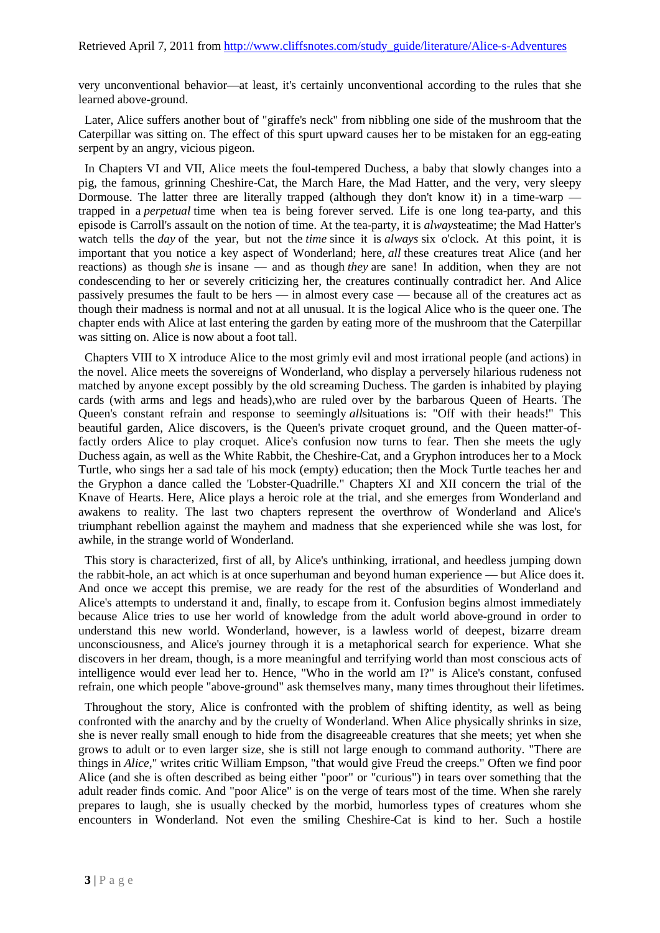very unconventional behavior—at least, it's certainly unconventional according to the rules that she learned above-ground.

Later, Alice suffers another bout of "giraffe's neck" from nibbling one side of the mushroom that the Caterpillar was sitting on. The effect of this spurt upward causes her to be mistaken for an egg-eating serpent by an angry, vicious pigeon.

In Chapters VI and VII, Alice meets the foul-tempered Duchess, a baby that slowly changes into a pig, the famous, grinning Cheshire-Cat, the March Hare, the Mad Hatter, and the very, very sleepy Dormouse. The latter three are literally trapped (although they don't know it) in a time-warp  $\overline{a}$ trapped in a *perpetual* time when tea is being forever served. Life is one long tea-party, and this episode is Carroll's assault on the notion of time. At the tea-party, it is *always*teatime; the Mad Hatter's watch tells the *day* of the year, but not the *time* since it is *always* six o'clock. At this point, it is important that you notice a key aspect of Wonderland; here, *all* these creatures treat Alice (and her reactions) as though *she* is insane — and as though *they* are sane! In addition, when they are not condescending to her or severely criticizing her, the creatures continually contradict her. And Alice passively presumes the fault to be hers — in almost every case — because all of the creatures act as though their madness is normal and not at all unusual. It is the logical Alice who is the queer one. The chapter ends with Alice at last entering the garden by eating more of the mushroom that the Caterpillar was sitting on. Alice is now about a foot tall.

Chapters VIII to X introduce Alice to the most grimly evil and most irrational people (and actions) in the novel. Alice meets the sovereigns of Wonderland, who display a perversely hilarious rudeness not matched by anyone except possibly by the old screaming Duchess. The garden is inhabited by playing cards (with arms and legs and heads),who are ruled over by the barbarous Queen of Hearts. The Queen's constant refrain and response to seemingly *all*situations is: "Off with their heads!" This beautiful garden, Alice discovers, is the Queen's private croquet ground, and the Queen matter-offactly orders Alice to play croquet. Alice's confusion now turns to fear. Then she meets the ugly Duchess again, as well as the White Rabbit, the Cheshire-Cat, and a Gryphon introduces her to a Mock Turtle, who sings her a sad tale of his mock (empty) education; then the Mock Turtle teaches her and the Gryphon a dance called the 'Lobster-Quadrille." Chapters XI and XII concern the trial of the Knave of Hearts. Here, Alice plays a heroic role at the trial, and she emerges from Wonderland and awakens to reality. The last two chapters represent the overthrow of Wonderland and Alice's triumphant rebellion against the mayhem and madness that she experienced while she was lost, for awhile, in the strange world of Wonderland.

This story is characterized, first of all, by Alice's unthinking, irrational, and heedless jumping down the rabbit-hole, an act which is at once superhuman and beyond human experience — but Alice does it. And once we accept this premise, we are ready for the rest of the absurdities of Wonderland and Alice's attempts to understand it and, finally, to escape from it. Confusion begins almost immediately because Alice tries to use her world of knowledge from the adult world above-ground in order to understand this new world. Wonderland, however, is a lawless world of deepest, bizarre dream unconsciousness, and Alice's journey through it is a metaphorical search for experience. What she discovers in her dream, though, is a more meaningful and terrifying world than most conscious acts of intelligence would ever lead her to. Hence, "Who in the world am I?" is Alice's constant, confused refrain, one which people "above-ground" ask themselves many, many times throughout their lifetimes.

Throughout the story, Alice is confronted with the problem of shifting identity, as well as being confronted with the anarchy and by the cruelty of Wonderland. When Alice physically shrinks in size, she is never really small enough to hide from the disagreeable creatures that she meets; yet when she grows to adult or to even larger size, she is still not large enough to command authority. "There are things in *Alice*," writes critic William Empson, "that would give Freud the creeps." Often we find poor Alice (and she is often described as being either "poor" or "curious") in tears over something that the adult reader finds comic. And "poor Alice" is on the verge of tears most of the time. When she rarely prepares to laugh, she is usually checked by the morbid, humorless types of creatures whom she encounters in Wonderland. Not even the smiling Cheshire-Cat is kind to her. Such a hostile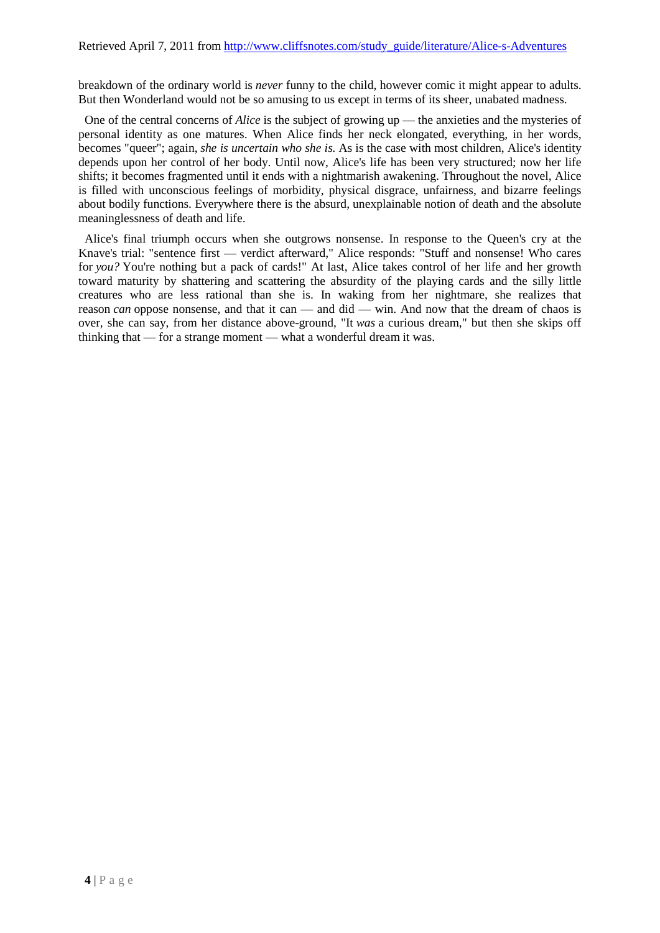breakdown of the ordinary world is *never* funny to the child, however comic it might appear to adults. But then Wonderland would not be so amusing to us except in terms of its sheer, unabated madness.

One of the central concerns of *Alice* is the subject of growing up — the anxieties and the mysteries of personal identity as one matures. When Alice finds her neck elongated, everything, in her words, becomes "queer"; again, *she is uncertain who she is.* As is the case with most children, Alice's identity depends upon her control of her body. Until now, Alice's life has been very structured; now her life shifts; it becomes fragmented until it ends with a nightmarish awakening. Throughout the novel, Alice is filled with unconscious feelings of morbidity, physical disgrace, unfairness, and bizarre feelings about bodily functions. Everywhere there is the absurd, unexplainable notion of death and the absolute meaninglessness of death and life.

Alice's final triumph occurs when she outgrows nonsense. In response to the Queen's cry at the Knave's trial: "sentence first — verdict afterward," Alice responds: "Stuff and nonsense! Who cares for *you?* You're nothing but a pack of cards!" At last, Alice takes control of her life and her growth toward maturity by shattering and scattering the absurdity of the playing cards and the silly little creatures who are less rational than she is. In waking from her nightmare, she realizes that reason *can* oppose nonsense, and that it can — and did — win. And now that the dream of chaos is over, she can say, from her distance above-ground, "It *was* a curious dream," but then she skips off thinking that — for a strange moment — what a wonderful dream it was.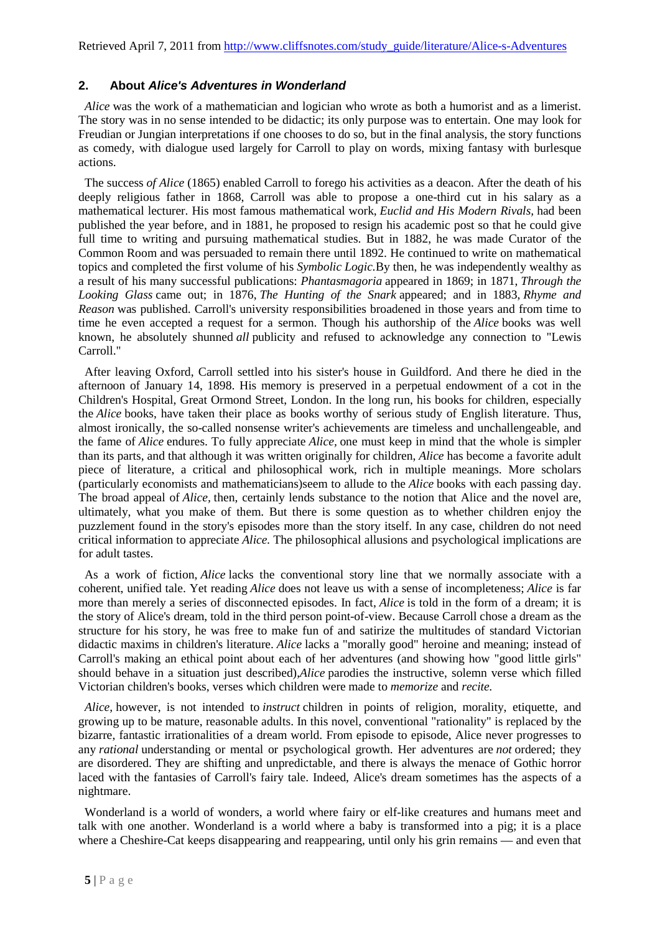# **2. About** *Alice's Adventures in Wonderland*

*Alice* was the work of a mathematician and logician who wrote as both a humorist and as a limerist. The story was in no sense intended to be didactic; its only purpose was to entertain. One may look for Freudian or Jungian interpretations if one chooses to do so, but in the final analysis, the story functions as comedy, with dialogue used largely for Carroll to play on words, mixing fantasy with burlesque actions.

The success *of Alice* (1865) enabled Carroll to forego his activities as a deacon. After the death of his deeply religious father in 1868, Carroll was able to propose a one-third cut in his salary as a mathematical lecturer. His most famous mathematical work, *Euclid and His Modern Rivals,* had been published the year before, and in 1881, he proposed to resign his academic post so that he could give full time to writing and pursuing mathematical studies. But in 1882, he was made Curator of the Common Room and was persuaded to remain there until 1892. He continued to write on mathematical topics and completed the first volume of his *Symbolic Logic.*By then, he was independently wealthy as a result of his many successful publications: *Phantasmagoria* appeared in 1869; in 1871, *Through the Looking Glass* came out; in 1876, *The Hunting of the Snark* appeared; and in 1883, *Rhyme and Reason* was published. Carroll's university responsibilities broadened in those years and from time to time he even accepted a request for a sermon. Though his authorship of the *Alice* books was well known, he absolutely shunned *all* publicity and refused to acknowledge any connection to "Lewis Carroll."

After leaving Oxford, Carroll settled into his sister's house in Guildford. And there he died in the afternoon of January 14, 1898. His memory is preserved in a perpetual endowment of a cot in the Children's Hospital, Great Ormond Street, London. In the long run, his books for children, especially the *Alice* books, have taken their place as books worthy of serious study of English literature. Thus, almost ironically, the so-called nonsense writer's achievements are timeless and unchallengeable, and the fame of *Alice* endures. To fully appreciate *Alice,* one must keep in mind that the whole is simpler than its parts, and that although it was written originally for children, *Alice* has become a favorite adult piece of literature, a critical and philosophical work, rich in multiple meanings. More scholars (particularly economists and mathematicians)seem to allude to the *Alice* books with each passing day. The broad appeal of *Alice,* then, certainly lends substance to the notion that Alice and the novel are, ultimately, what you make of them. But there is some question as to whether children enjoy the puzzlement found in the story's episodes more than the story itself. In any case, children do not need critical information to appreciate *Alice.* The philosophical allusions and psychological implications are for adult tastes.

As a work of fiction, *Alice* lacks the conventional story line that we normally associate with a coherent, unified tale. Yet reading *Alice* does not leave us with a sense of incompleteness; *Alice* is far more than merely a series of disconnected episodes. In fact, *Alice* is told in the form of a dream; it is the story of Alice's dream, told in the third person point-of-view. Because Carroll chose a dream as the structure for his story, he was free to make fun of and satirize the multitudes of standard Victorian didactic maxims in children's literature. *Alice* lacks a "morally good" heroine and meaning; instead of Carroll's making an ethical point about each of her adventures (and showing how "good little girls" should behave in a situation just described),*Alice* parodies the instructive, solemn verse which filled Victorian children's books, verses which children were made to *memorize* and *recite.*

*Alice,* however, is not intended to *instruct* children in points of religion, morality, etiquette, and growing up to be mature, reasonable adults. In this novel, conventional "rationality" is replaced by the bizarre, fantastic irrationalities of a dream world. From episode to episode, Alice never progresses to any *rational* understanding or mental or psychological growth. Her adventures are *not* ordered; they are disordered. They are shifting and unpredictable, and there is always the menace of Gothic horror laced with the fantasies of Carroll's fairy tale. Indeed, Alice's dream sometimes has the aspects of a nightmare.

Wonderland is a world of wonders, a world where fairy or elf-like creatures and humans meet and talk with one another. Wonderland is a world where a baby is transformed into a pig; it is a place where a Cheshire-Cat keeps disappearing and reappearing, until only his grin remains — and even that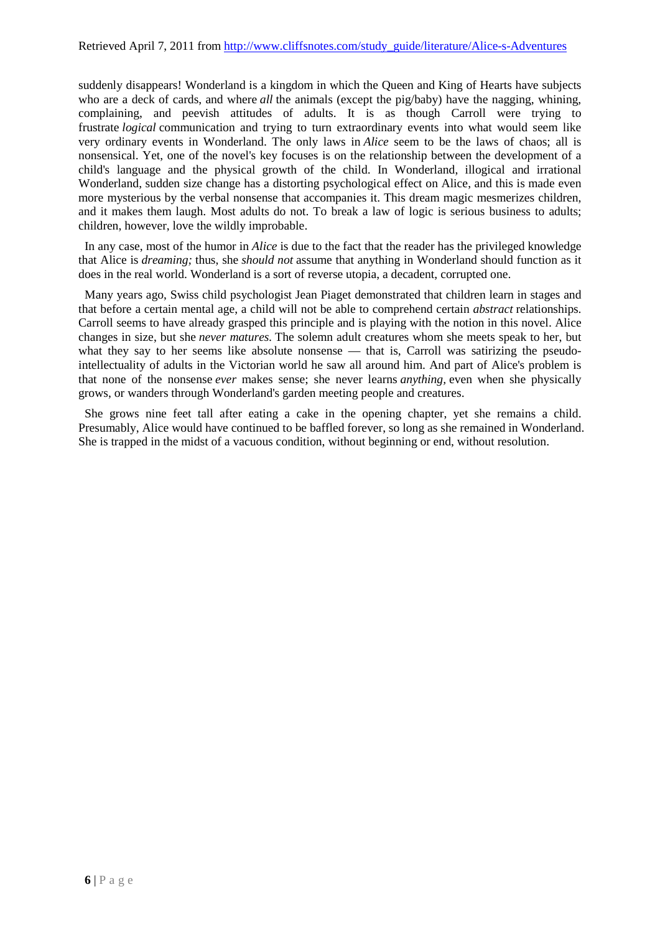suddenly disappears! Wonderland is a kingdom in which the Queen and King of Hearts have subjects who are a deck of cards, and where *all* the animals (except the pig/baby) have the nagging, whining, complaining, and peevish attitudes of adults. It is as though Carroll were trying to frustrate *logical* communication and trying to turn extraordinary events into what would seem like very ordinary events in Wonderland. The only laws in *Alice* seem to be the laws of chaos; all is nonsensical. Yet, one of the novel's key focuses is on the relationship between the development of a child's language and the physical growth of the child. In Wonderland, illogical and irrational Wonderland, sudden size change has a distorting psychological effect on Alice, and this is made even more mysterious by the verbal nonsense that accompanies it. This dream magic mesmerizes children, and it makes them laugh. Most adults do not. To break a law of logic is serious business to adults; children, however, love the wildly improbable.

In any case, most of the humor in *Alice* is due to the fact that the reader has the privileged knowledge that Alice is *dreaming;* thus, she *should not* assume that anything in Wonderland should function as it does in the real world. Wonderland is a sort of reverse utopia, a decadent, corrupted one.

Many years ago, Swiss child psychologist Jean Piaget demonstrated that children learn in stages and that before a certain mental age, a child will not be able to comprehend certain *abstract* relationships. Carroll seems to have already grasped this principle and is playing with the notion in this novel. Alice changes in size, but she *never matures.* The solemn adult creatures whom she meets speak to her, but what they say to her seems like absolute nonsense — that is, Carroll was satirizing the pseudointellectuality of adults in the Victorian world he saw all around him. And part of Alice's problem is that none of the nonsense *ever* makes sense; she never learns *anything,* even when she physically grows, or wanders through Wonderland's garden meeting people and creatures.

She grows nine feet tall after eating a cake in the opening chapter, yet she remains a child. Presumably, Alice would have continued to be baffled forever, so long as she remained in Wonderland. She is trapped in the midst of a vacuous condition, without beginning or end, without resolution.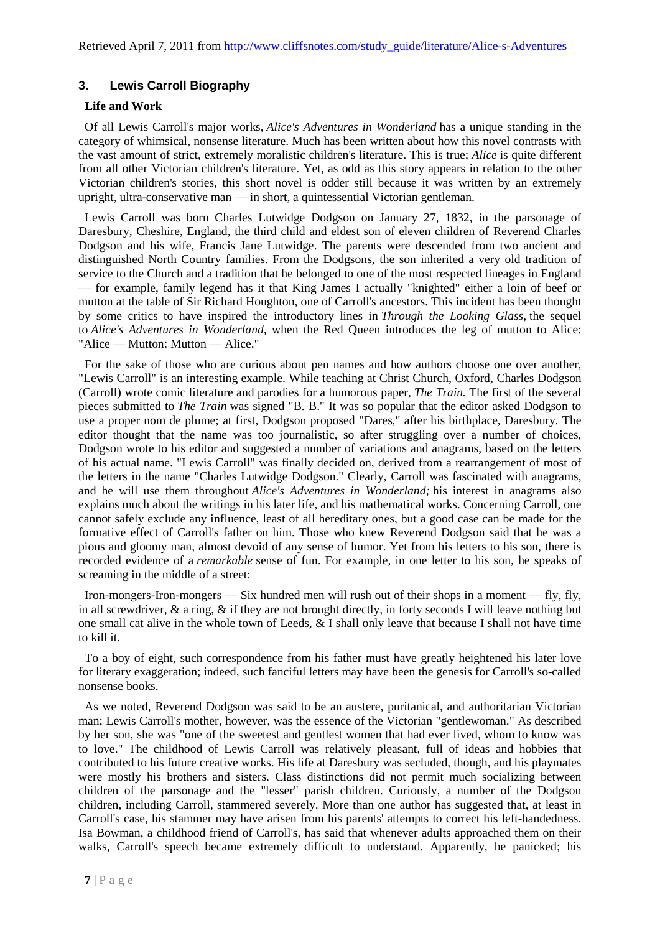# **3. Lewis Carroll Biography**

# **Life and Work**

Of all Lewis Carroll's major works, *Alice's Adventures in Wonderland* has a unique standing in the category of whimsical, nonsense literature. Much has been written about how this novel contrasts with the vast amount of strict, extremely moralistic children's literature. This is true; *Alice* is quite different from all other Victorian children's literature. Yet, as odd as this story appears in relation to the other Victorian children's stories, this short novel is odder still because it was written by an extremely upright, ultra-conservative man — in short, a quintessential Victorian gentleman.

Lewis Carroll was born Charles Lutwidge Dodgson on January 27, 1832, in the parsonage of Daresbury, Cheshire, England, the third child and eldest son of eleven children of Reverend Charles Dodgson and his wife, Francis Jane Lutwidge. The parents were descended from two ancient and distinguished North Country families. From the Dodgsons, the son inherited a very old tradition of service to the Church and a tradition that he belonged to one of the most respected lineages in England — for example, family legend has it that King James I actually "knighted" either a loin of beef or mutton at the table of Sir Richard Houghton, one of Carroll's ancestors. This incident has been thought by some critics to have inspired the introductory lines in *Through the Looking Glass,* the sequel to *Alice's Adventures in Wonderland,* when the Red Queen introduces the leg of mutton to Alice: "Alice — Mutton: Mutton — Alice."

For the sake of those who are curious about pen names and how authors choose one over another, "Lewis Carroll" is an interesting example. While teaching at Christ Church, Oxford, Charles Dodgson (Carroll) wrote comic literature and parodies for a humorous paper, *The Train.* The first of the several pieces submitted to *The Train* was signed "B. B." It was so popular that the editor asked Dodgson to use a proper nom de plume; at first, Dodgson proposed "Dares," after his birthplace, Daresbury. The editor thought that the name was too journalistic, so after struggling over a number of choices, Dodgson wrote to his editor and suggested a number of variations and anagrams, based on the letters of his actual name. "Lewis Carroll" was finally decided on, derived from a rearrangement of most of the letters in the name "Charles Lutwidge Dodgson." Clearly, Carroll was fascinated with anagrams, and he will use them throughout *Alice's Adventures in Wonderland;* his interest in anagrams also explains much about the writings in his later life, and his mathematical works. Concerning Carroll, one cannot safely exclude any influence, least of all hereditary ones, but a good case can be made for the formative effect of Carroll's father on him. Those who knew Reverend Dodgson said that he was a pious and gloomy man, almost devoid of any sense of humor. Yet from his letters to his son, there is recorded evidence of a *remarkable* sense of fun. For example, in one letter to his son, he speaks of screaming in the middle of a street:

Iron-mongers-Iron-mongers — Six hundred men will rush out of their shops in a moment — fly, fly, in all screwdriver, & a ring, & if they are not brought directly, in forty seconds I will leave nothing but one small cat alive in the whole town of Leeds, & I shall only leave that because I shall not have time to kill it.

To a boy of eight, such correspondence from his father must have greatly heightened his later love for literary exaggeration; indeed, such fanciful letters may have been the genesis for Carroll's so-called nonsense books.

As we noted, Reverend Dodgson was said to be an austere, puritanical, and authoritarian Victorian man; Lewis Carroll's mother, however, was the essence of the Victorian "gentlewoman." As described by her son, she was "one of the sweetest and gentlest women that had ever lived, whom to know was to love." The childhood of Lewis Carroll was relatively pleasant, full of ideas and hobbies that contributed to his future creative works. His life at Daresbury was secluded, though, and his playmates were mostly his brothers and sisters. Class distinctions did not permit much socializing between children of the parsonage and the "lesser" parish children. Curiously, a number of the Dodgson children, including Carroll, stammered severely. More than one author has suggested that, at least in Carroll's case, his stammer may have arisen from his parents' attempts to correct his left-handedness. Isa Bowman, a childhood friend of Carroll's, has said that whenever adults approached them on their walks, Carroll's speech became extremely difficult to understand. Apparently, he panicked; his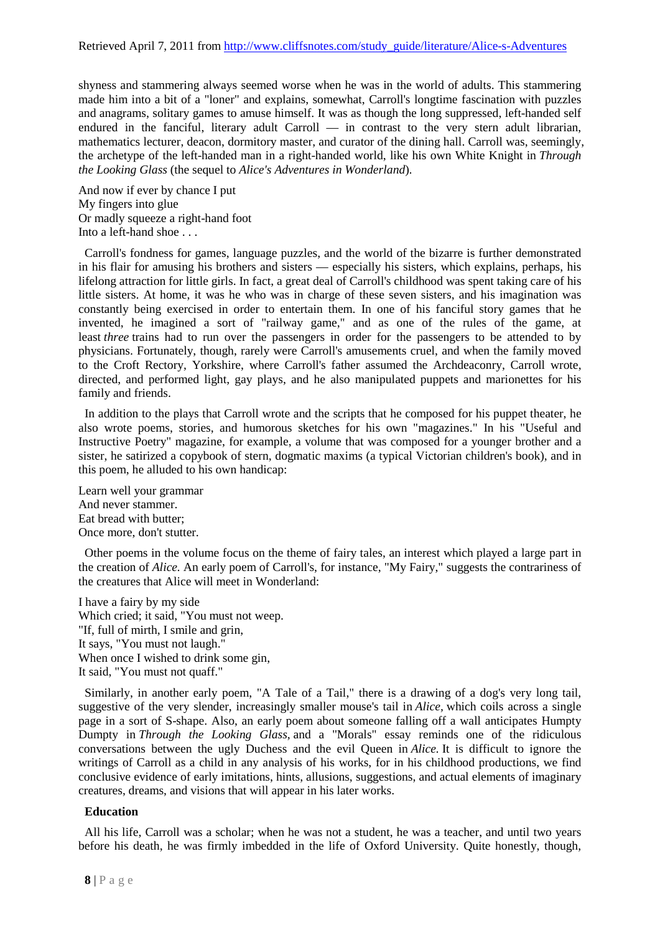shyness and stammering always seemed worse when he was in the world of adults. This stammering made him into a bit of a "loner" and explains, somewhat, Carroll's longtime fascination with puzzles and anagrams, solitary games to amuse himself. It was as though the long suppressed, left-handed self endured in the fanciful, literary adult Carroll — in contrast to the very stern adult librarian, mathematics lecturer, deacon, dormitory master, and curator of the dining hall. Carroll was, seemingly, the archetype of the left-handed man in a right-handed world, like his own White Knight in *Through the Looking Glass* (the sequel to *Alice's Adventures in Wonderland*)*.*

And now if ever by chance I put My fingers into glue Or madly squeeze a right-hand foot Into a left-hand shoe . . .

Carroll's fondness for games, language puzzles, and the world of the bizarre is further demonstrated in his flair for amusing his brothers and sisters — especially his sisters, which explains, perhaps, his lifelong attraction for little girls. In fact, a great deal of Carroll's childhood was spent taking care of his little sisters. At home, it was he who was in charge of these seven sisters, and his imagination was constantly being exercised in order to entertain them. In one of his fanciful story games that he invented, he imagined a sort of "railway game," and as one of the rules of the game, at least *three* trains had to run over the passengers in order for the passengers to be attended to by physicians. Fortunately, though, rarely were Carroll's amusements cruel, and when the family moved to the Croft Rectory, Yorkshire, where Carroll's father assumed the Archdeaconry, Carroll wrote, directed, and performed light, gay plays, and he also manipulated puppets and marionettes for his family and friends.

In addition to the plays that Carroll wrote and the scripts that he composed for his puppet theater, he also wrote poems, stories, and humorous sketches for his own "magazines." In his "Useful and Instructive Poetry" magazine, for example, a volume that was composed for a younger brother and a sister, he satirized a copybook of stern, dogmatic maxims (a typical Victorian children's book), and in this poem, he alluded to his own handicap:

Learn well your grammar And never stammer. Eat bread with butter; Once more, don't stutter.

Other poems in the volume focus on the theme of fairy tales, an interest which played a large part in the creation of *Alice.* An early poem of Carroll's, for instance, "My Fairy," suggests the contrariness of the creatures that Alice will meet in Wonderland:

I have a fairy by my side Which cried; it said, "You must not weep. "If, full of mirth, I smile and grin, It says, "You must not laugh." When once I wished to drink some gin, It said, "You must not quaff."

Similarly, in another early poem, "A Tale of a Tail," there is a drawing of a dog's very long tail, suggestive of the very slender, increasingly smaller mouse's tail in *Alice,* which coils across a single page in a sort of S-shape. Also, an early poem about someone falling off a wall anticipates Humpty Dumpty in *Through the Looking Glass,* and a "Morals" essay reminds one of the ridiculous conversations between the ugly Duchess and the evil Queen in *Alice.* It is difficult to ignore the writings of Carroll as a child in any analysis of his works, for in his childhood productions, we find conclusive evidence of early imitations, hints, allusions, suggestions, and actual elements of imaginary creatures, dreams, and visions that will appear in his later works.

# **Education**

All his life, Carroll was a scholar; when he was not a student, he was a teacher, and until two years before his death, he was firmly imbedded in the life of Oxford University. Quite honestly, though,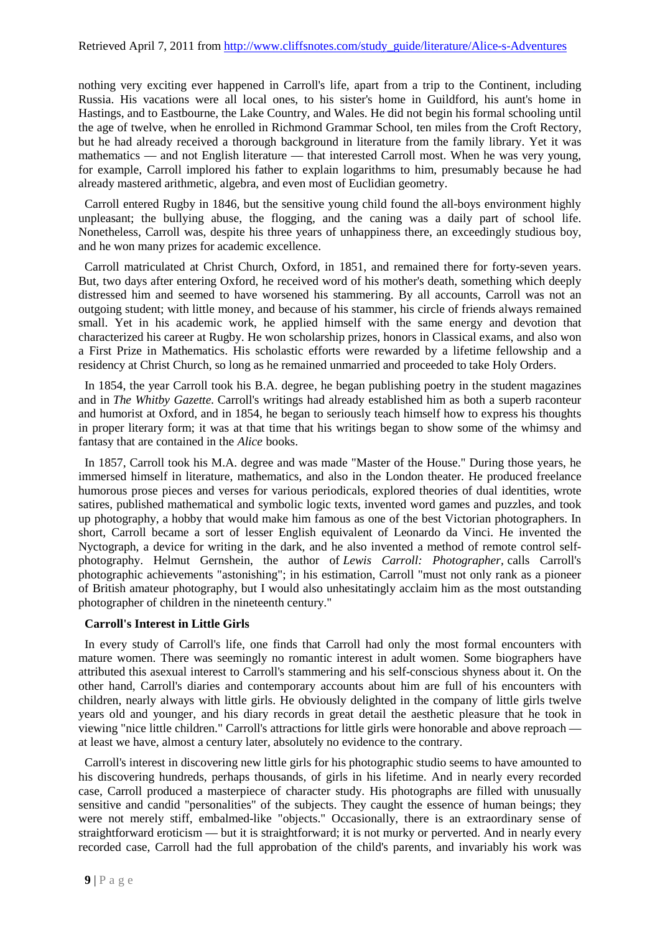nothing very exciting ever happened in Carroll's life, apart from a trip to the Continent, including Russia. His vacations were all local ones, to his sister's home in Guildford, his aunt's home in Hastings, and to Eastbourne, the Lake Country, and Wales. He did not begin his formal schooling until the age of twelve, when he enrolled in Richmond Grammar School, ten miles from the Croft Rectory, but he had already received a thorough background in literature from the family library. Yet it was mathematics — and not English literature — that interested Carroll most. When he was very young, for example, Carroll implored his father to explain logarithms to him, presumably because he had already mastered arithmetic, algebra, and even most of Euclidian geometry.

Carroll entered Rugby in 1846, but the sensitive young child found the all-boys environment highly unpleasant; the bullying abuse, the flogging, and the caning was a daily part of school life. Nonetheless, Carroll was, despite his three years of unhappiness there, an exceedingly studious boy, and he won many prizes for academic excellence.

Carroll matriculated at Christ Church, Oxford, in 1851, and remained there for forty-seven years. But, two days after entering Oxford, he received word of his mother's death, something which deeply distressed him and seemed to have worsened his stammering. By all accounts, Carroll was not an outgoing student; with little money, and because of his stammer, his circle of friends always remained small. Yet in his academic work, he applied himself with the same energy and devotion that characterized his career at Rugby. He won scholarship prizes, honors in Classical exams, and also won a First Prize in Mathematics. His scholastic efforts were rewarded by a lifetime fellowship and a residency at Christ Church, so long as he remained unmarried and proceeded to take Holy Orders.

In 1854, the year Carroll took his B.A. degree, he began publishing poetry in the student magazines and in *The Whitby Gazette.* Carroll's writings had already established him as both a superb raconteur and humorist at Oxford, and in 1854, he began to seriously teach himself how to express his thoughts in proper literary form; it was at that time that his writings began to show some of the whimsy and fantasy that are contained in the *Alice* books.

In 1857, Carroll took his M.A. degree and was made "Master of the House." During those years, he immersed himself in literature, mathematics, and also in the London theater. He produced freelance humorous prose pieces and verses for various periodicals, explored theories of dual identities, wrote satires, published mathematical and symbolic logic texts, invented word games and puzzles, and took up photography, a hobby that would make him famous as one of the best Victorian photographers. In short, Carroll became a sort of lesser English equivalent of Leonardo da Vinci. He invented the Nyctograph, a device for writing in the dark, and he also invented a method of remote control selfphotography. Helmut Gernshein, the author of *Lewis Carroll: Photographer,* calls Carroll's photographic achievements "astonishing"; in his estimation, Carroll "must not only rank as a pioneer of British amateur photography, but I would also unhesitatingly acclaim him as the most outstanding photographer of children in the nineteenth century."

# **Carroll's Interest in Little Girls**

In every study of Carroll's life, one finds that Carroll had only the most formal encounters with mature women. There was seemingly no romantic interest in adult women. Some biographers have attributed this asexual interest to Carroll's stammering and his self-conscious shyness about it. On the other hand, Carroll's diaries and contemporary accounts about him are full of his encounters with children, nearly always with little girls. He obviously delighted in the company of little girls twelve years old and younger, and his diary records in great detail the aesthetic pleasure that he took in viewing "nice little children." Carroll's attractions for little girls were honorable and above reproach at least we have, almost a century later, absolutely no evidence to the contrary.

Carroll's interest in discovering new little girls for his photographic studio seems to have amounted to his discovering hundreds, perhaps thousands, of girls in his lifetime. And in nearly every recorded case, Carroll produced a masterpiece of character study. His photographs are filled with unusually sensitive and candid "personalities" of the subjects. They caught the essence of human beings; they were not merely stiff, embalmed-like "objects." Occasionally, there is an extraordinary sense of straightforward eroticism — but it is straightforward; it is not murky or perverted. And in nearly every recorded case, Carroll had the full approbation of the child's parents, and invariably his work was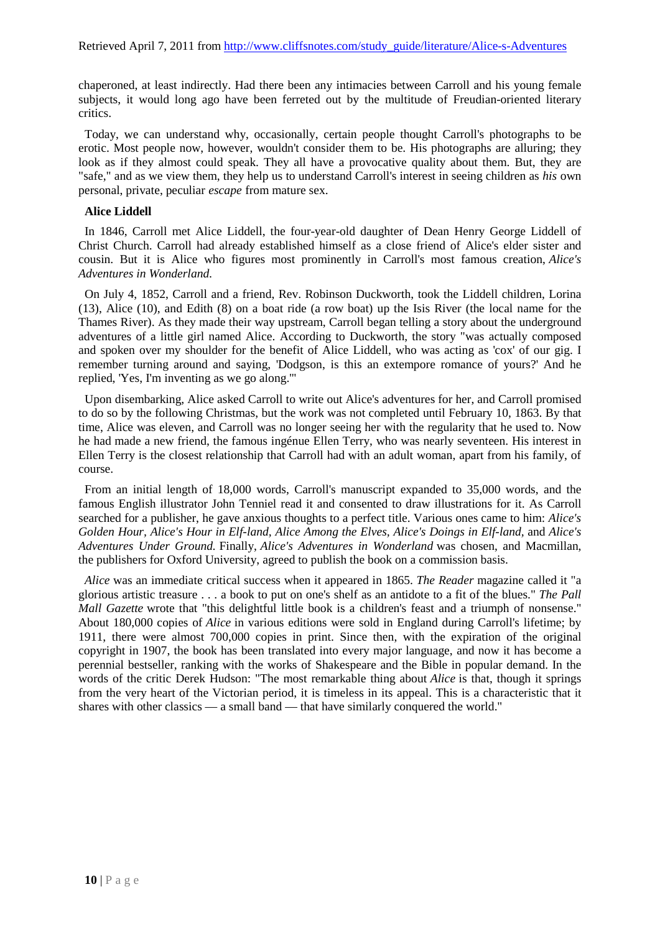chaperoned, at least indirectly. Had there been any intimacies between Carroll and his young female subjects, it would long ago have been ferreted out by the multitude of Freudian-oriented literary critics.

Today, we can understand why, occasionally, certain people thought Carroll's photographs to be erotic. Most people now, however, wouldn't consider them to be. His photographs are alluring; they look as if they almost could speak. They all have a provocative quality about them. But, they are "safe," and as we view them, they help us to understand Carroll's interest in seeing children as *his* own personal, private, peculiar *escape* from mature sex.

#### **Alice Liddell**

In 1846, Carroll met Alice Liddell, the four-year-old daughter of Dean Henry George Liddell of Christ Church. Carroll had already established himself as a close friend of Alice's elder sister and cousin. But it is Alice who figures most prominently in Carroll's most famous creation, *Alice's Adventures in Wonderland.*

On July 4, 1852, Carroll and a friend, Rev. Robinson Duckworth, took the Liddell children, Lorina (13), Alice (10), and Edith (8) on a boat ride (a row boat) up the Isis River (the local name for the Thames River). As they made their way upstream, Carroll began telling a story about the underground adventures of a little girl named Alice. According to Duckworth, the story "was actually composed and spoken over my shoulder for the benefit of Alice Liddell, who was acting as 'cox' of our gig. I remember turning around and saying, 'Dodgson, is this an extempore romance of yours?' And he replied, 'Yes, I'm inventing as we go along.'"

Upon disembarking, Alice asked Carroll to write out Alice's adventures for her, and Carroll promised to do so by the following Christmas, but the work was not completed until February 10, 1863. By that time, Alice was eleven, and Carroll was no longer seeing her with the regularity that he used to. Now he had made a new friend, the famous ingénue Ellen Terry, who was nearly seventeen. His interest in Ellen Terry is the closest relationship that Carroll had with an adult woman, apart from his family, of course.

From an initial length of 18,000 words, Carroll's manuscript expanded to 35,000 words, and the famous English illustrator John Tenniel read it and consented to draw illustrations for it. As Carroll searched for a publisher, he gave anxious thoughts to a perfect title. Various ones came to him: *Alice's Golden Hour, Alice's Hour in Elf-land, Alice Among the Elves, Alice's Doings in Elf-land,* and *Alice's Adventures Under Ground.* Finally, *Alice's Adventures in Wonderland* was chosen, and Macmillan, the publishers for Oxford University, agreed to publish the book on a commission basis.

*Alice* was an immediate critical success when it appeared in 1865. *The Reader* magazine called it "a glorious artistic treasure . . . a book to put on one's shelf as an antidote to a fit of the blues." *The Pall Mall Gazette* wrote that "this delightful little book is a children's feast and a triumph of nonsense." About 180,000 copies of *Alice* in various editions were sold in England during Carroll's lifetime; by 1911, there were almost 700,000 copies in print. Since then, with the expiration of the original copyright in 1907, the book has been translated into every major language, and now it has become a perennial bestseller, ranking with the works of Shakespeare and the Bible in popular demand. In the words of the critic Derek Hudson: "The most remarkable thing about *Alice* is that, though it springs from the very heart of the Victorian period, it is timeless in its appeal. This is a characteristic that it shares with other classics — a small band — that have similarly conquered the world."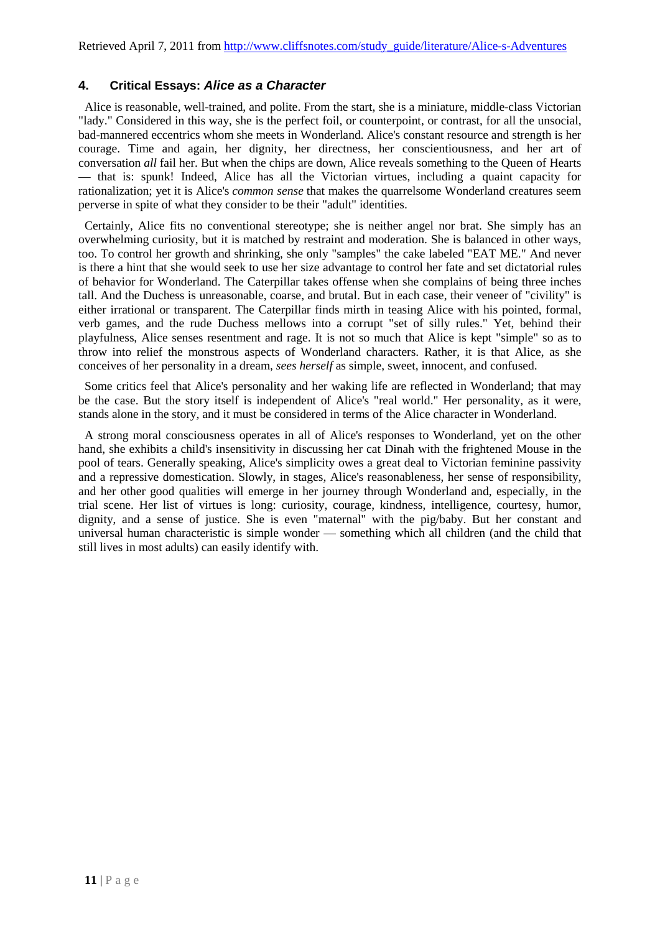# **4. Critical Essays:** *Alice as a Character*

Alice is reasonable, well-trained, and polite. From the start, she is a miniature, middle-class Victorian "lady." Considered in this way, she is the perfect foil, or counterpoint, or contrast, for all the unsocial, bad-mannered eccentrics whom she meets in Wonderland. Alice's constant resource and strength is her courage. Time and again, her dignity, her directness, her conscientiousness, and her art of conversation *all* fail her. But when the chips are down, Alice reveals something to the Queen of Hearts — that is: spunk! Indeed, Alice has all the Victorian virtues, including a quaint capacity for rationalization; yet it is Alice's *common sense* that makes the quarrelsome Wonderland creatures seem perverse in spite of what they consider to be their "adult" identities.

Certainly, Alice fits no conventional stereotype; she is neither angel nor brat. She simply has an overwhelming curiosity, but it is matched by restraint and moderation. She is balanced in other ways, too. To control her growth and shrinking, she only "samples" the cake labeled "EAT ME." And never is there a hint that she would seek to use her size advantage to control her fate and set dictatorial rules of behavior for Wonderland. The Caterpillar takes offense when she complains of being three inches tall. And the Duchess is unreasonable, coarse, and brutal. But in each case, their veneer of "civility" is either irrational or transparent. The Caterpillar finds mirth in teasing Alice with his pointed, formal, verb games, and the rude Duchess mellows into a corrupt "set of silly rules." Yet, behind their playfulness, Alice senses resentment and rage. It is not so much that Alice is kept "simple" so as to throw into relief the monstrous aspects of Wonderland characters. Rather, it is that Alice, as she conceives of her personality in a dream, *sees herself* as simple, sweet, innocent, and confused.

Some critics feel that Alice's personality and her waking life are reflected in Wonderland; that may be the case. But the story itself is independent of Alice's "real world." Her personality, as it were, stands alone in the story, and it must be considered in terms of the Alice character in Wonderland.

A strong moral consciousness operates in all of Alice's responses to Wonderland, yet on the other hand, she exhibits a child's insensitivity in discussing her cat Dinah with the frightened Mouse in the pool of tears. Generally speaking, Alice's simplicity owes a great deal to Victorian feminine passivity and a repressive domestication. Slowly, in stages, Alice's reasonableness, her sense of responsibility, and her other good qualities will emerge in her journey through Wonderland and, especially, in the trial scene. Her list of virtues is long: curiosity, courage, kindness, intelligence, courtesy, humor, dignity, and a sense of justice. She is even "maternal" with the pig/baby. But her constant and universal human characteristic is simple wonder — something which all children (and the child that still lives in most adults) can easily identify with.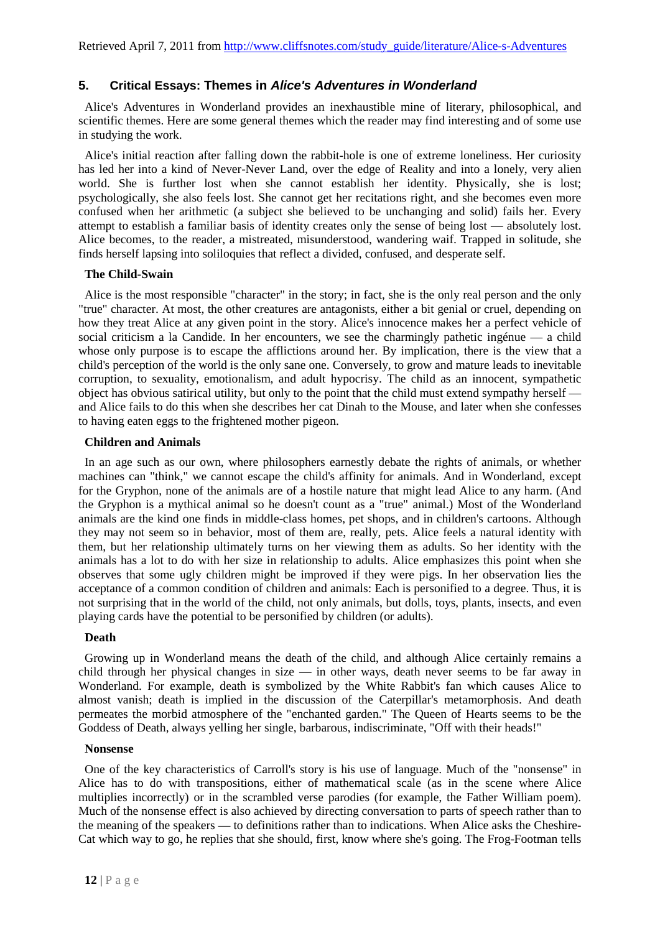# **5. Critical Essays: Themes in** *Alice's Adventures in Wonderland*

Alice's Adventures in Wonderland provides an inexhaustible mine of literary, philosophical, and scientific themes. Here are some general themes which the reader may find interesting and of some use in studying the work.

Alice's initial reaction after falling down the rabbit-hole is one of extreme loneliness. Her curiosity has led her into a kind of Never-Never Land, over the edge of Reality and into a lonely, very alien world. She is further lost when she cannot establish her identity. Physically, she is lost; psychologically, she also feels lost. She cannot get her recitations right, and she becomes even more confused when her arithmetic (a subject she believed to be unchanging and solid) fails her. Every attempt to establish a familiar basis of identity creates only the sense of being lost — absolutely lost. Alice becomes, to the reader, a mistreated, misunderstood, wandering waif. Trapped in solitude, she finds herself lapsing into soliloquies that reflect a divided, confused, and desperate self.

#### **The Child-Swain**

Alice is the most responsible "character" in the story; in fact, she is the only real person and the only "true" character. At most, the other creatures are antagonists, either a bit genial or cruel, depending on how they treat Alice at any given point in the story. Alice's innocence makes her a perfect vehicle of social criticism a la Candide. In her encounters, we see the charmingly pathetic ingénue — a child whose only purpose is to escape the afflictions around her. By implication, there is the view that a child's perception of the world is the only sane one. Conversely, to grow and mature leads to inevitable corruption, to sexuality, emotionalism, and adult hypocrisy. The child as an innocent, sympathetic object has obvious satirical utility, but only to the point that the child must extend sympathy herself and Alice fails to do this when she describes her cat Dinah to the Mouse, and later when she confesses to having eaten eggs to the frightened mother pigeon.

#### **Children and Animals**

In an age such as our own, where philosophers earnestly debate the rights of animals, or whether machines can "think," we cannot escape the child's affinity for animals. And in Wonderland, except for the Gryphon, none of the animals are of a hostile nature that might lead Alice to any harm. (And the Gryphon is a mythical animal so he doesn't count as a "true" animal.) Most of the Wonderland animals are the kind one finds in middle-class homes, pet shops, and in children's cartoons. Although they may not seem so in behavior, most of them are, really, pets. Alice feels a natural identity with them, but her relationship ultimately turns on her viewing them as adults. So her identity with the animals has a lot to do with her size in relationship to adults. Alice emphasizes this point when she observes that some ugly children might be improved if they were pigs. In her observation lies the acceptance of a common condition of children and animals: Each is personified to a degree. Thus, it is not surprising that in the world of the child, not only animals, but dolls, toys, plants, insects, and even playing cards have the potential to be personified by children (or adults).

# **Death**

Growing up in Wonderland means the death of the child, and although Alice certainly remains a child through her physical changes in size — in other ways, death never seems to be far away in Wonderland. For example, death is symbolized by the White Rabbit's fan which causes Alice to almost vanish; death is implied in the discussion of the Caterpillar's metamorphosis. And death permeates the morbid atmosphere of the "enchanted garden." The Queen of Hearts seems to be the Goddess of Death, always yelling her single, barbarous, indiscriminate, "Off with their heads!"

#### **Nonsense**

One of the key characteristics of Carroll's story is his use of language. Much of the "nonsense" in Alice has to do with transpositions, either of mathematical scale (as in the scene where Alice multiplies incorrectly) or in the scrambled verse parodies (for example, the Father William poem). Much of the nonsense effect is also achieved by directing conversation to parts of speech rather than to the meaning of the speakers — to definitions rather than to indications. When Alice asks the Cheshire-Cat which way to go, he replies that she should, first, know where she's going. The Frog-Footman tells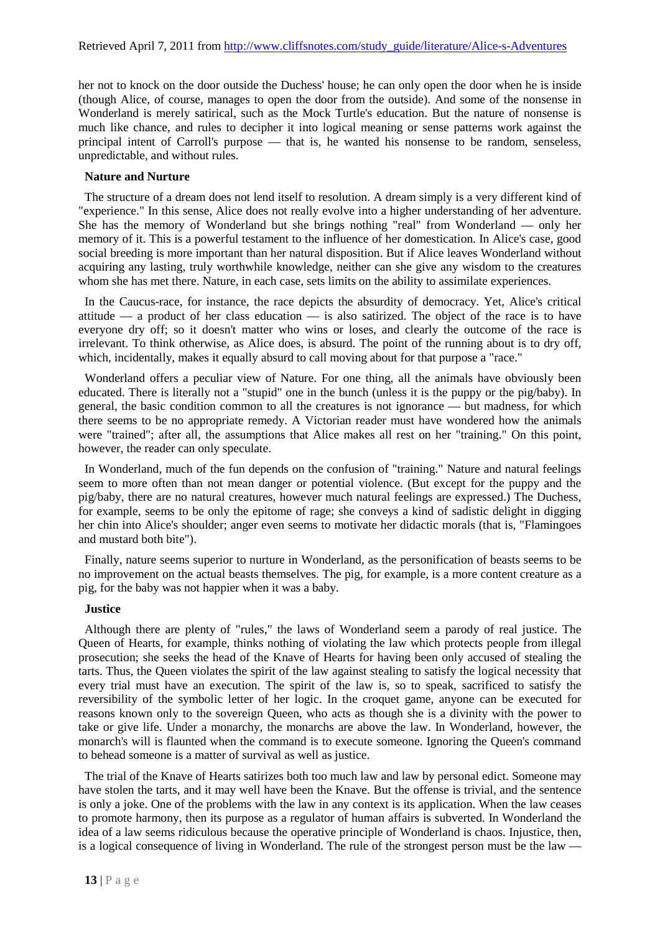her not to knock on the door outside the Duchess' house; he can only open the door when he is inside (though Alice, of course, manages to open the door from the outside). And some of the nonsense in Wonderland is merely satirical, such as the Mock Turtle's education. But the nature of nonsense is much like chance, and rules to decipher it into logical meaning or sense patterns work against the principal intent of Carroll's purpose — that is, he wanted his nonsense to be random, senseless, unpredictable, and without rules.

# **Nature and Nurture**

The structure of a dream does not lend itself to resolution. A dream simply is a very different kind of "experience." In this sense, Alice does not really evolve into a higher understanding of her adventure. She has the memory of Wonderland but she brings nothing "real" from Wonderland — only her memory of it. This is a powerful testament to the influence of her domestication. In Alice's case, good social breeding is more important than her natural disposition. But if Alice leaves Wonderland without acquiring any lasting, truly worthwhile knowledge, neither can she give any wisdom to the creatures whom she has met there. Nature, in each case, sets limits on the ability to assimilate experiences.

In the Caucus-race, for instance, the race depicts the absurdity of democracy. Yet, Alice's critical attitude — a product of her class education — is also satirized. The object of the race is to have everyone dry off; so it doesn't matter who wins or loses, and clearly the outcome of the race is irrelevant. To think otherwise, as Alice does, is absurd. The point of the running about is to dry off, which, incidentally, makes it equally absurd to call moving about for that purpose a "race."

Wonderland offers a peculiar view of Nature. For one thing, all the animals have obviously been educated. There is literally not a "stupid" one in the bunch (unless it is the puppy or the pig/baby). In general, the basic condition common to all the creatures is not ignorance — but madness, for which there seems to be no appropriate remedy. A Victorian reader must have wondered how the animals were "trained"; after all, the assumptions that Alice makes all rest on her "training." On this point, however, the reader can only speculate.

In Wonderland, much of the fun depends on the confusion of "training." Nature and natural feelings seem to more often than not mean danger or potential violence. (But except for the puppy and the pig/baby, there are no natural creatures, however much natural feelings are expressed.) The Duchess, for example, seems to be only the epitome of rage; she conveys a kind of sadistic delight in digging her chin into Alice's shoulder; anger even seems to motivate her didactic morals (that is, "Flamingoes and mustard both bite").

Finally, nature seems superior to nurture in Wonderland, as the personification of beasts seems to be no improvement on the actual beasts themselves. The pig, for example, is a more content creature as a pig, for the baby was not happier when it was a baby.

# **Justice**

Although there are plenty of "rules," the laws of Wonderland seem a parody of real justice. The Queen of Hearts, for example, thinks nothing of violating the law which protects people from illegal prosecution; she seeks the head of the Knave of Hearts for having been only accused of stealing the tarts. Thus, the Queen violates the spirit of the law against stealing to satisfy the logical necessity that every trial must have an execution. The spirit of the law is, so to speak, sacrificed to satisfy the reversibility of the symbolic letter of her logic. In the croquet game, anyone can be executed for reasons known only to the sovereign Queen, who acts as though she is a divinity with the power to take or give life. Under a monarchy, the monarchs are above the law. In Wonderland, however, the monarch's will is flaunted when the command is to execute someone. Ignoring the Queen's command to behead someone is a matter of survival as well as justice.

The trial of the Knave of Hearts satirizes both too much law and law by personal edict. Someone may have stolen the tarts, and it may well have been the Knave. But the offense is trivial, and the sentence is only a joke. One of the problems with the law in any context is its application. When the law ceases to promote harmony, then its purpose as a regulator of human affairs is subverted. In Wonderland the idea of a law seems ridiculous because the operative principle of Wonderland is chaos. Injustice, then, is a logical consequence of living in Wonderland. The rule of the strongest person must be the law —